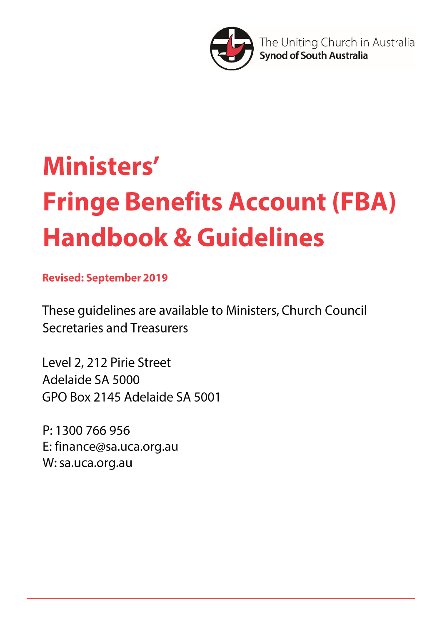

The Uniting Church in Australia **Synod of South Australia** 

# Ministers' **Fringe Benefits Account (FBA) Handbook & Guidelines**

**Revised: September 2019** 

These guidelines are available to Ministers, Church Council **Secretaries and Treasurers** 

Level 2, 212 Pirie Street Adelaide SA 5000 GPO Box 2145 Adelaide SA 5001

P: 1300 766 956 E: finance@sa.uca.org.au W: sa.uca.org.au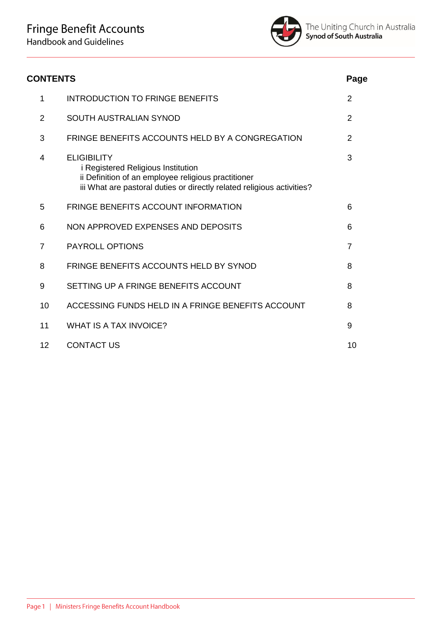

| <b>CONTENTS</b> |                                                                                                                                                                                                  |                |
|-----------------|--------------------------------------------------------------------------------------------------------------------------------------------------------------------------------------------------|----------------|
| 1               | <b>INTRODUCTION TO FRINGE BENEFITS</b>                                                                                                                                                           | $\overline{2}$ |
| $\overline{2}$  | <b>SOUTH AUSTRALIAN SYNOD</b>                                                                                                                                                                    | $\overline{2}$ |
| 3               | FRINGE BENEFITS ACCOUNTS HELD BY A CONGREGATION                                                                                                                                                  | $\overline{2}$ |
| 4               | <b>ELIGIBILITY</b><br><i>i</i> Registered Religious Institution<br>ii Definition of an employee religious practitioner<br>iii What are pastoral duties or directly related religious activities? | 3              |
| 5               | <b>FRINGE BENEFITS ACCOUNT INFORMATION</b>                                                                                                                                                       | 6              |
| 6               | NON APPROVED EXPENSES AND DEPOSITS                                                                                                                                                               | 6              |
| $\overline{7}$  | <b>PAYROLL OPTIONS</b>                                                                                                                                                                           | $\overline{7}$ |
| 8               | FRINGE BENEFITS ACCOUNTS HELD BY SYNOD                                                                                                                                                           | 8              |
| 9               | SETTING UP A FRINGE BENEFITS ACCOUNT                                                                                                                                                             | 8              |
| 10              | ACCESSING FUNDS HELD IN A FRINGE BENEFITS ACCOUNT                                                                                                                                                | 8              |
| 11              | <b>WHAT IS A TAX INVOICE?</b>                                                                                                                                                                    | 9              |
| 12              | <b>CONTACT US</b>                                                                                                                                                                                | 10             |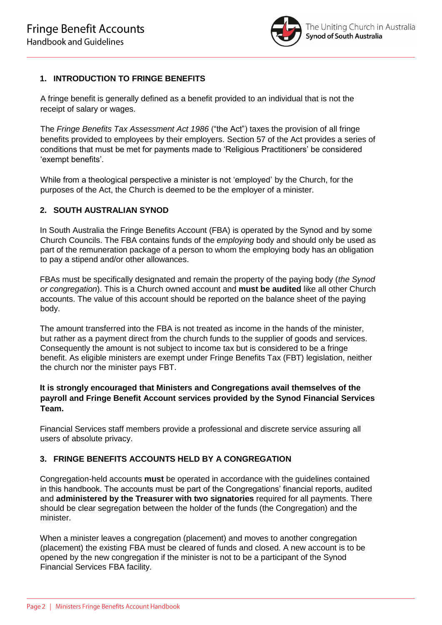

# **1. INTRODUCTION TO FRINGE BENEFITS**

A fringe benefit is generally defined as a benefit provided to an individual that is not the receipt of salary or wages.

The *Fringe Benefits Tax Assessment Act 1986* ("the Act") taxes the provision of all fringe benefits provided to employees by their employers. Section 57 of the Act provides a series of conditions that must be met for payments made to 'Religious Practitioners' be considered 'exempt benefits'.

While from a theological perspective a minister is not 'employed' by the Church, for the purposes of the Act, the Church is deemed to be the employer of a minister.

## **2. SOUTH AUSTRALIAN SYNOD**

In South Australia the Fringe Benefits Account (FBA) is operated by the Synod and by some Church Councils. The FBA contains funds of the *employing* body and should only be used as part of the remuneration package of a person to whom the employing body has an obligation to pay a stipend and/or other allowances.

FBAs must be specifically designated and remain the property of the paying body (*the Synod or congregation*). This is a Church owned account and **must be audited** like all other Church accounts. The value of this account should be reported on the balance sheet of the paying body.

The amount transferred into the FBA is not treated as income in the hands of the minister, but rather as a payment direct from the church funds to the supplier of goods and services. Consequently the amount is not subject to income tax but is considered to be a fringe benefit. As eligible ministers are exempt under Fringe Benefits Tax (FBT) legislation, neither the church nor the minister pays FBT.

## **It is strongly encouraged that Ministers and Congregations avail themselves of the payroll and Fringe Benefit Account services provided by the Synod Financial Services Team.**

Financial Services staff members provide a professional and discrete service assuring all users of absolute privacy.

# **3. FRINGE BENEFITS ACCOUNTS HELD BY A CONGREGATION**

Congregation-held accounts **must** be operated in accordance with the guidelines contained in this handbook. The accounts must be part of the Congregations' financial reports, audited and **administered by the Treasurer with two signatories** required for all payments. There should be clear segregation between the holder of the funds (the Congregation) and the minister.

When a minister leaves a congregation (placement) and moves to another congregation (placement) the existing FBA must be cleared of funds and closed. A new account is to be opened by the new congregation if the minister is not to be a participant of the Synod Financial Services FBA facility.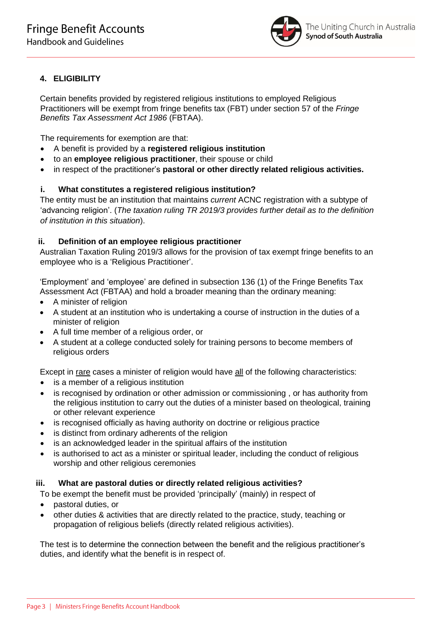

# **4. ELIGIBILITY**

Certain benefits provided by registered religious institutions to employed Religious Practitioners will be exempt from fringe benefits tax (FBT) under section 57 of the *Fringe Benefits Tax Assessment Act 1986* (FBTAA).

The requirements for exemption are that:

- A benefit is provided by a **registered religious institution**
- to an **employee religious practitioner**, their spouse or child
- in respect of the practitioner's **pastoral or other directly related religious activities.**

## **i. What constitutes a registered religious institution?**

The entity must be an institution that maintains *current* ACNC registration with a subtype of 'advancing religion'. (*The taxation ruling TR 2019/3 provides further detail as to the definition of institution in this situation*).

## **ii. Definition of an employee religious practitioner**

Australian Taxation Ruling 2019/3 allows for the provision of tax exempt fringe benefits to an employee who is a 'Religious Practitioner'.

'Employment' and 'employee' are defined in subsection 136 (1) of the Fringe Benefits Tax Assessment Act (FBTAA) and hold a broader meaning than the ordinary meaning:

- A minister of religion
- A student at an institution who is undertaking a course of instruction in the duties of a minister of religion
- A full time member of a religious order, or
- A student at a college conducted solely for training persons to become members of religious orders

Except in rare cases a minister of religion would have all of the following characteristics:

- is a member of a religious institution
- is recognised by ordination or other admission or commissioning , or has authority from the religious institution to carry out the duties of a minister based on theological, training or other relevant experience
- is recognised officially as having authority on doctrine or religious practice
- is distinct from ordinary adherents of the religion
- is an acknowledged leader in the spiritual affairs of the institution
- is authorised to act as a minister or spiritual leader, including the conduct of religious worship and other religious ceremonies

## **iii. What are pastoral duties or directly related religious activities?**

To be exempt the benefit must be provided 'principally' (mainly) in respect of

- pastoral duties, or
- other duties & activities that are directly related to the practice, study, teaching or propagation of religious beliefs (directly related religious activities).

The test is to determine the connection between the benefit and the religious practitioner's duties, and identify what the benefit is in respect of.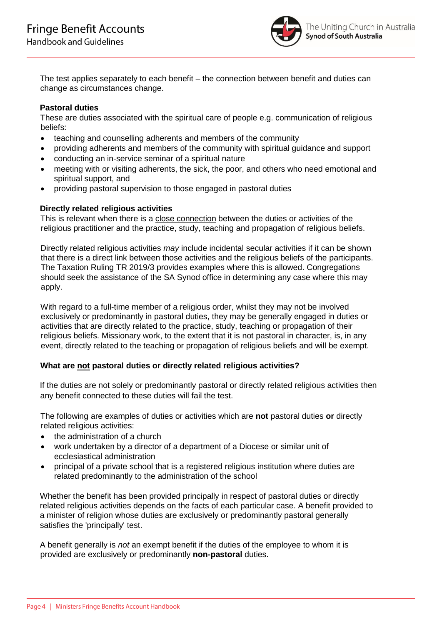

The test applies separately to each benefit – the connection between benefit and duties can change as circumstances change.

## **Pastoral duties**

These are duties associated with the spiritual care of people e.g. communication of religious beliefs:

- teaching and counselling adherents and members of the community
- providing adherents and members of the community with spiritual guidance and support
- conducting an in-service seminar of a spiritual nature
- meeting with or visiting adherents, the sick, the poor, and others who need emotional and spiritual support, and
- providing pastoral supervision to those engaged in pastoral duties

## **Directly related religious activities**

This is relevant when there is a close connection between the duties or activities of the religious practitioner and the practice, study, teaching and propagation of religious beliefs.

Directly related religious activities *may* include incidental secular activities if it can be shown that there is a direct link between those activities and the religious beliefs of the participants. The Taxation Ruling TR 2019/3 provides examples where this is allowed. Congregations should seek the assistance of the SA Synod office in determining any case where this may apply.

With regard to a full-time member of a religious order, whilst they may not be involved exclusively or predominantly in pastoral duties, they may be generally engaged in duties or activities that are directly related to the practice, study, teaching or propagation of their religious beliefs. Missionary work, to the extent that it is not pastoral in character, is, in any event, directly related to the teaching or propagation of religious beliefs and will be exempt.

## **What are not pastoral duties or directly related religious activities?**

If the duties are not solely or predominantly pastoral or directly related religious activities then any benefit connected to these duties will fail the test.

The following are examples of duties or activities which are **not** pastoral duties **or** directly related religious activities:

- the administration of a church
- work undertaken by a director of a department of a Diocese or similar unit of ecclesiastical administration
- principal of a private school that is a registered religious institution where duties are related predominantly to the administration of the school

Whether the benefit has been provided principally in respect of pastoral duties or directly related religious activities depends on the facts of each particular case. A benefit provided to a minister of religion whose duties are exclusively or predominantly pastoral generally satisfies the 'principally' test.

A benefit generally is *not* an exempt benefit if the duties of the employee to whom it is provided are exclusively or predominantly **non-pastoral** duties.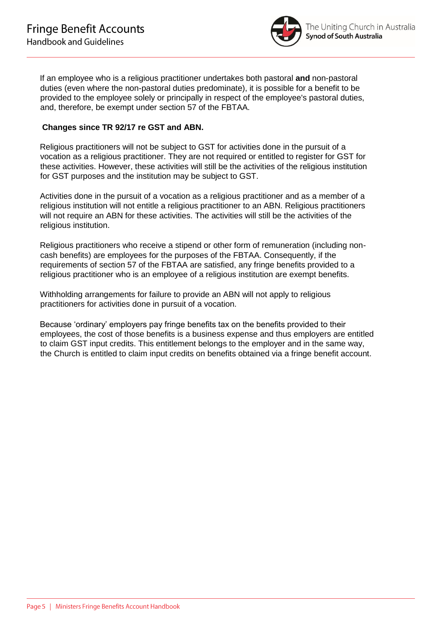

If an employee who is a religious practitioner undertakes both pastoral **and** non-pastoral duties (even where the non-pastoral duties predominate), it is possible for a benefit to be provided to the employee solely or principally in respect of the employee's pastoral duties, and, therefore, be exempt under section 57 of the FBTAA.

## **Changes since TR 92/17 re GST and ABN.**

Religious practitioners will not be subject to GST for activities done in the pursuit of a vocation as a religious practitioner. They are not required or entitled to register for GST for these activities. However, these activities will still be the activities of the religious institution for GST purposes and the institution may be subject to GST.

Activities done in the pursuit of a vocation as a religious practitioner and as a member of a religious institution will not entitle a religious practitioner to an ABN. Religious practitioners will not require an ABN for these activities. The activities will still be the activities of the religious institution.

Religious practitioners who receive a stipend or other form of remuneration (including noncash benefits) are employees for the purposes of the FBTAA. Consequently, if the requirements of section 57 of the FBTAA are satisfied, any fringe benefits provided to a religious practitioner who is an employee of a religious institution are exempt benefits.

Withholding arrangements for failure to provide an ABN will not apply to religious practitioners for activities done in pursuit of a vocation.

Because 'ordinary' employers pay fringe benefits tax on the benefits provided to their employees, the cost of those benefits is a business expense and thus employers are entitled to claim GST input credits. This entitlement belongs to the employer and in the same way, the Church is entitled to claim input credits on benefits obtained via a fringe benefit account.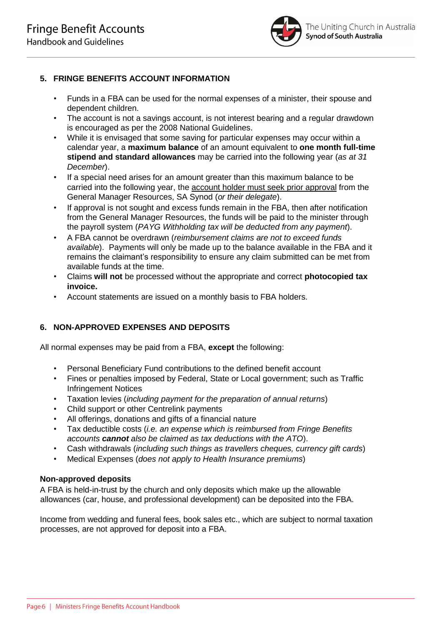

# **5. FRINGE BENEFITS ACCOUNT INFORMATION**

- Funds in a FBA can be used for the normal expenses of a minister, their spouse and dependent children.
- The account is not a savings account, is not interest bearing and a regular drawdown is encouraged as per the 2008 National Guidelines.
- While it is envisaged that some saving for particular expenses may occur within a calendar year, a **maximum balance** of an amount equivalent to **one month full-time stipend and standard allowances** may be carried into the following year (*as at 31 December*).
- If a special need arises for an amount greater than this maximum balance to be carried into the following year, the account holder must seek prior approval from the General Manager Resources, SA Synod (*or their delegate*).
- If approval is not sought and excess funds remain in the FBA, then after notification from the General Manager Resources, the funds will be paid to the minister through the payroll system (*PAYG Withholding tax will be deducted from any payment*).
- A FBA cannot be overdrawn (*reimbursement claims are not to exceed funds available*). Payments will only be made up to the balance available in the FBA and it remains the claimant's responsibility to ensure any claim submitted can be met from available funds at the time.
- Claims **will not** be processed without the appropriate and correct **photocopied tax invoice.**
- Account statements are issued on a monthly basis to FBA holders.

# **6. NON-APPROVED EXPENSES AND DEPOSITS**

All normal expenses may be paid from a FBA, **except** the following:

- Personal Beneficiary Fund contributions to the defined benefit account
- Fines or penalties imposed by Federal, State or Local government; such as Traffic Infringement Notices
- Taxation levies (*including payment for the preparation of annual returns*)
- Child support or other Centrelink payments
- All offerings, donations and gifts of a financial nature
- Tax deductible costs (*i.e. an expense which is reimbursed from Fringe Benefits accounts cannot also be claimed as tax deductions with the ATO*).
- Cash withdrawals (*including such things as travellers cheques, currency gift cards*)
- Medical Expenses (*does not apply to Health Insurance premiums*)

#### **Non-approved deposits**

A FBA is held-in-trust by the church and only deposits which make up the allowable allowances (car, house, and professional development) can be deposited into the FBA.

Income from wedding and funeral fees, book sales etc., which are subject to normal taxation processes, are not approved for deposit into a FBA.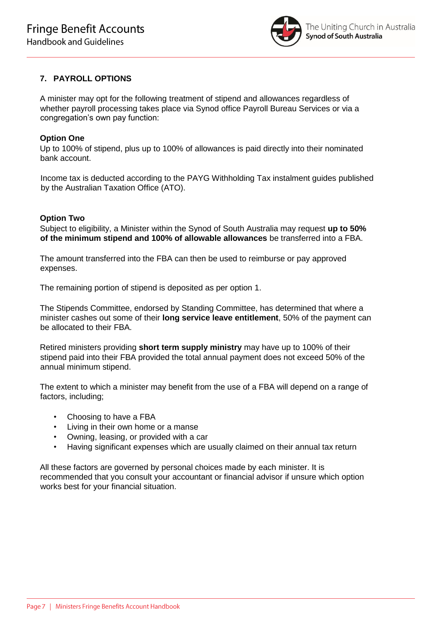

# **7. PAYROLL OPTIONS**

A minister may opt for the following treatment of stipend and allowances regardless of whether payroll processing takes place via Synod office Payroll Bureau Services or via a congregation's own pay function:

#### **Option One**

Up to 100% of stipend, plus up to 100% of allowances is paid directly into their nominated bank account.

Income tax is deducted according to the PAYG Withholding Tax instalment guides published by the Australian Taxation Office (ATO).

#### **Option Two**

Subject to eligibility, a Minister within the Synod of South Australia may request **up to 50% of the minimum stipend and 100% of allowable allowances** be transferred into a FBA.

The amount transferred into the FBA can then be used to reimburse or pay approved expenses.

The remaining portion of stipend is deposited as per option 1.

The Stipends Committee, endorsed by Standing Committee, has determined that where a minister cashes out some of their **long service leave entitlement**, 50% of the payment can be allocated to their FBA.

Retired ministers providing **short term supply ministry** may have up to 100% of their stipend paid into their FBA provided the total annual payment does not exceed 50% of the annual minimum stipend.

The extent to which a minister may benefit from the use of a FBA will depend on a range of factors, including;

- Choosing to have a FBA
- Living in their own home or a manse
- Owning, leasing, or provided with a car
- Having significant expenses which are usually claimed on their annual tax return

All these factors are governed by personal choices made by each minister. It is recommended that you consult your accountant or financial advisor if unsure which option works best for your financial situation.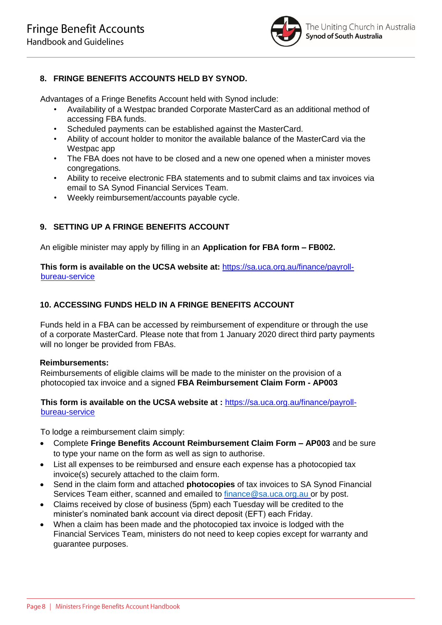

# **8. FRINGE BENEFITS ACCOUNTS HELD BY SYNOD.**

Advantages of a Fringe Benefits Account held with Synod include:

- Availability of a Westpac branded Corporate MasterCard as an additional method of accessing FBA funds.
- Scheduled payments can be established against the MasterCard.
- Ability of account holder to monitor the available balance of the MasterCard via the Westpac app
- The FBA does not have to be closed and a new one opened when a minister moves congregations.
- Ability to receive electronic FBA statements and to submit claims and tax invoices via email to SA Synod Financial Services Team.
- Weekly reimbursement/accounts payable cycle.

# **9. SETTING UP A FRINGE BENEFITS ACCOUNT**

An eligible minister may apply by filling in an **Application for FBA form – FB002.** 

**This form is available on the UCSA website at:** [https://sa.uca.org.au/finance/payroll](https://sa.uca.org.au/finance/payroll-bureau-service)[bureau-service](https://sa.uca.org.au/finance/payroll-bureau-service)

## **10. ACCESSING FUNDS HELD IN A FRINGE BENEFITS ACCOUNT**

Funds held in a FBA can be accessed by reimbursement of expenditure or through the use of a corporate MasterCard. Please note that from 1 January 2020 direct third party payments will no longer be provided from FBAs.

## **Reimbursements:**

Reimbursements of eligible claims will be made to the minister on the provision of a photocopied tax invoice and a signed **FBA Reimbursement Claim Form - AP003**

## **This form is available on the UCSA website at :** [https://sa.uca.org.au/finance/payroll](https://sa.uca.org.au/finance/payroll-bureau-service)[bureau-service](https://sa.uca.org.au/finance/payroll-bureau-service)

To lodge a reimbursement claim simply:

- Complete **Fringe Benefits Account Reimbursement Claim Form – AP003** and be sure to type your name on the form as well as sign to authorise.
- List all expenses to be reimbursed and ensure each expense has a photocopied tax invoice(s) securely attached to the claim form.
- Send in the claim form and attached **photocopies** of tax invoices to SA Synod Financial Services Team either, scanned and emailed to [finance@sa.uca.org.au](mailto:finance@sa.uca.org.au) or by post.
- Claims received by close of business (5pm) each Tuesday will be credited to the minister's nominated bank account via direct deposit (EFT) each Friday.
- When a claim has been made and the photocopied tax invoice is lodged with the Financial Services Team, ministers do not need to keep copies except for warranty and guarantee purposes.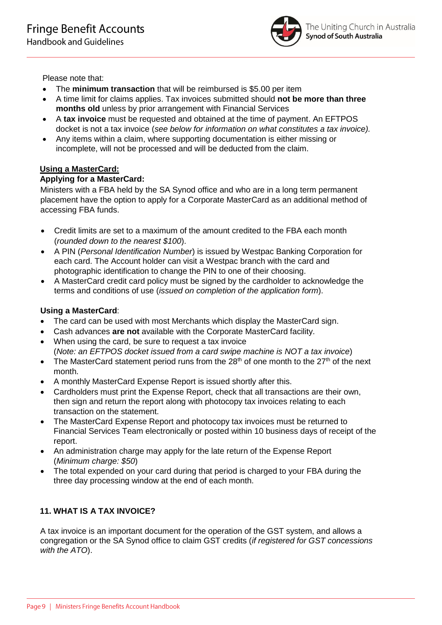

Please note that:

- The **minimum transaction** that will be reimbursed is \$5.00 per item
- A time limit for claims applies. Tax invoices submitted should **not be more than three months old** unless by prior arrangement with Financial Services
- A **tax invoice** must be requested and obtained at the time of payment. An EFTPOS docket is not a tax invoice (*see below for information on what constitutes a tax invoice).*
- Any items within a claim, where supporting documentation is either missing or incomplete, will not be processed and will be deducted from the claim.

# **Using a MasterCard:**

# **Applying for a MasterCard:**

Ministers with a FBA held by the SA Synod office and who are in a long term permanent placement have the option to apply for a Corporate MasterCard as an additional method of accessing FBA funds.

- Credit limits are set to a maximum of the amount credited to the FBA each month (*rounded down to the nearest \$100*).
- A PIN (*Personal Identification Number*) is issued by Westpac Banking Corporation for each card. The Account holder can visit a Westpac branch with the card and photographic identification to change the PIN to one of their choosing.
- A MasterCard credit card policy must be signed by the cardholder to acknowledge the terms and conditions of use (*issued on completion of the application form*).

## **Using a MasterCard**:

- The card can be used with most Merchants which display the MasterCard sign.
- Cash advances **are not** available with the Corporate MasterCard facility.
- When using the card, be sure to request a tax invoice (*Note: an EFTPOS docket issued from a card swipe machine is NOT a tax invoice*)
- The MasterCard statement period runs from the  $28<sup>th</sup>$  of one month to the  $27<sup>th</sup>$  of the next month.
- A monthly MasterCard Expense Report is issued shortly after this.
- Cardholders must print the Expense Report, check that all transactions are their own, then sign and return the report along with photocopy tax invoices relating to each transaction on the statement.
- The MasterCard Expense Report and photocopy tax invoices must be returned to Financial Services Team electronically or posted within 10 business days of receipt of the report.
- An administration charge may apply for the late return of the Expense Report (*Minimum charge: \$50*)
- The total expended on your card during that period is charged to your FBA during the three day processing window at the end of each month.

# **11. WHAT IS A TAX INVOICE?**

A tax invoice is an important document for the operation of the GST system, and allows a congregation or the SA Synod office to claim GST credits (*if registered for GST concessions with the ATO*).